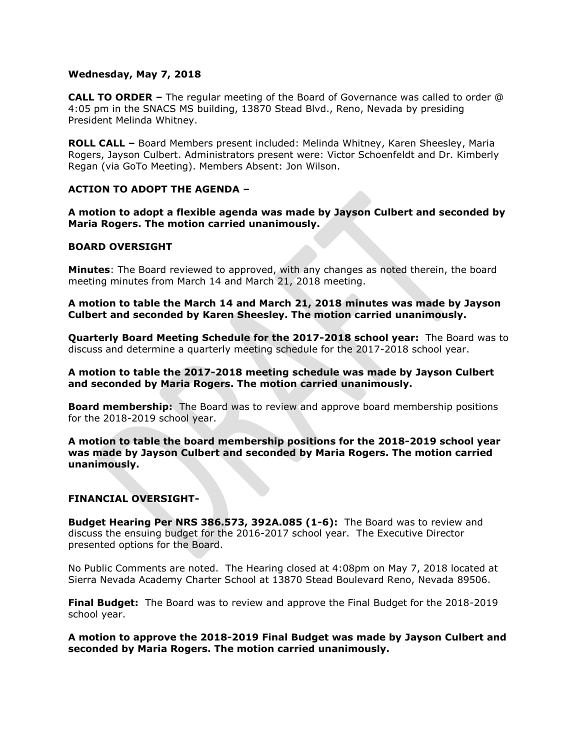## **Wednesday, May 7, 2018**

**CALL TO ORDER –** The regular meeting of the Board of Governance was called to order @ 4:05 pm in the SNACS MS building, 13870 Stead Blvd., Reno, Nevada by presiding President Melinda Whitney.

**ROLL CALL –** Board Members present included: Melinda Whitney, Karen Sheesley, Maria Rogers, Jayson Culbert. Administrators present were: Victor Schoenfeldt and Dr. Kimberly Regan (via GoTo Meeting). Members Absent: Jon Wilson.

## **ACTION TO ADOPT THE AGENDA –**

**A motion to adopt a flexible agenda was made by Jayson Culbert and seconded by Maria Rogers. The motion carried unanimously.** 

## **BOARD OVERSIGHT**

**Minutes**: The Board reviewed to approved, with any changes as noted therein, the board meeting minutes from March 14 and March 21, 2018 meeting.

**A motion to table the March 14 and March 21, 2018 minutes was made by Jayson Culbert and seconded by Karen Sheesley. The motion carried unanimously.**

**Quarterly Board Meeting Schedule for the 2017-2018 school year:** The Board was to discuss and determine a quarterly meeting schedule for the 2017-2018 school year.

**A motion to table the 2017-2018 meeting schedule was made by Jayson Culbert and seconded by Maria Rogers. The motion carried unanimously.** 

**Board membership:** The Board was to review and approve board membership positions for the 2018-2019 school year.

**A motion to table the board membership positions for the 2018-2019 school year was made by Jayson Culbert and seconded by Maria Rogers. The motion carried unanimously.** 

#### **FINANCIAL OVERSIGHT-**

**Budget Hearing Per NRS 386.573, 392A.085 (1-6):** The Board was to review and discuss the ensuing budget for the 2016-2017 school year. The Executive Director presented options for the Board.

No Public Comments are noted. The Hearing closed at 4:08pm on May 7, 2018 located at Sierra Nevada Academy Charter School at 13870 Stead Boulevard Reno, Nevada 89506.

**Final Budget:** The Board was to review and approve the Final Budget for the 2018-2019 school year.

**A motion to approve the 2018-2019 Final Budget was made by Jayson Culbert and seconded by Maria Rogers. The motion carried unanimously.**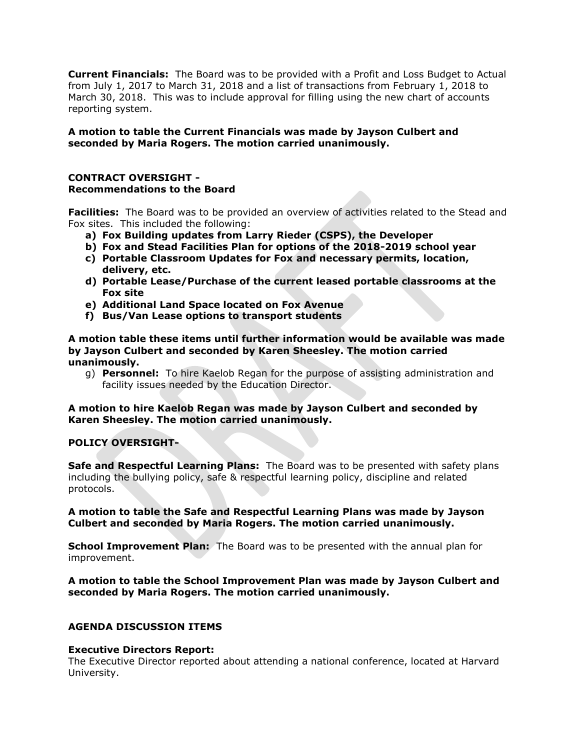**Current Financials:** The Board was to be provided with a Profit and Loss Budget to Actual from July 1, 2017 to March 31, 2018 and a list of transactions from February 1, 2018 to March 30, 2018. This was to include approval for filling using the new chart of accounts reporting system.

# **A motion to table the Current Financials was made by Jayson Culbert and seconded by Maria Rogers. The motion carried unanimously.**

## **CONTRACT OVERSIGHT - Recommendations to the Board**

**Facilities:** The Board was to be provided an overview of activities related to the Stead and Fox sites. This included the following:

- **a) Fox Building updates from Larry Rieder (CSPS), the Developer**
- **b) Fox and Stead Facilities Plan for options of the 2018-2019 school year**
- **c) Portable Classroom Updates for Fox and necessary permits, location, delivery, etc.**
- **d) Portable Lease/Purchase of the current leased portable classrooms at the Fox site**
- **e) Additional Land Space located on Fox Avenue**
- **f) Bus/Van Lease options to transport students**

## **A motion table these items until further information would be available was made by Jayson Culbert and seconded by Karen Sheesley. The motion carried unanimously.**

g) **Personnel:** To hire Kaelob Regan for the purpose of assisting administration and facility issues needed by the Education Director.

**A motion to hire Kaelob Regan was made by Jayson Culbert and seconded by Karen Sheesley. The motion carried unanimously.** 

## **POLICY OVERSIGHT-**

**Safe and Respectful Learning Plans:** The Board was to be presented with safety plans including the bullying policy, safe & respectful learning policy, discipline and related protocols.

## **A motion to table the Safe and Respectful Learning Plans was made by Jayson Culbert and seconded by Maria Rogers. The motion carried unanimously.**

**School Improvement Plan:** The Board was to be presented with the annual plan for improvement.

## **A motion to table the School Improvement Plan was made by Jayson Culbert and seconded by Maria Rogers. The motion carried unanimously.**

## **AGENDA DISCUSSION ITEMS**

#### **Executive Directors Report:**

The Executive Director reported about attending a national conference, located at Harvard University.